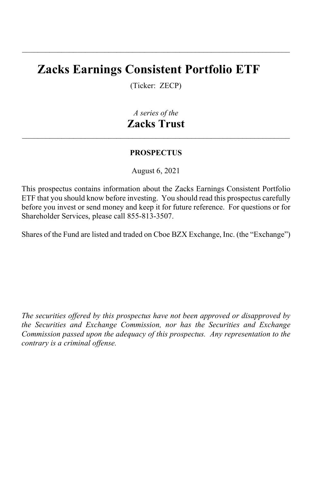# **Zacks Earnings Consistent Portfolio ETF**

(Ticker: ZECP)

\_\_\_\_\_\_\_\_\_\_\_\_\_\_\_\_\_\_\_\_\_\_\_\_\_\_\_\_\_\_\_\_\_\_\_\_\_\_\_\_\_\_\_\_\_\_\_\_\_\_\_\_\_\_\_\_\_\_\_\_\_\_\_\_\_\_\_\_

## *A series of the* **Zacks Trust**

\_\_\_\_\_\_\_\_\_\_\_\_\_\_\_\_\_\_\_\_\_\_\_\_\_\_\_\_\_\_\_\_\_\_\_\_\_\_\_\_\_\_\_\_\_\_\_\_\_\_\_\_\_\_\_\_\_\_\_\_\_\_\_\_\_\_\_\_

#### **PROSPECTUS**

August 6, 2021

This prospectus contains information about the Zacks Earnings Consistent Portfolio ETF that you should know before investing. You should read this prospectus carefully before you invest or send money and keep it for future reference. For questions or for Shareholder Services, please call 855-813-3507.

Shares of the Fund are listed and traded on Cboe BZX Exchange, Inc. (the "Exchange")

*The securities offered by this prospectus have not been approved or disapproved by the Securities and Exchange Commission, nor has the Securities and Exchange Commission passed upon the adequacy of this prospectus. Any representation to the contrary is a criminal offense.*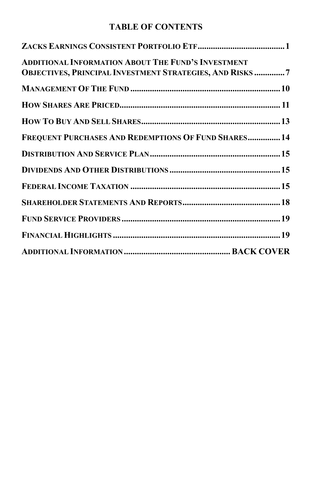## **TABLE OF CONTENTS**

| <b>ADDITIONAL INFORMATION ABOUT THE FUND'S INVESTMENT</b><br><b>OBJECTIVES, PRINCIPAL INVESTMENT STRATEGIES, AND RISKS 7</b> |  |
|------------------------------------------------------------------------------------------------------------------------------|--|
|                                                                                                                              |  |
|                                                                                                                              |  |
|                                                                                                                              |  |
| FREQUENT PURCHASES AND REDEMPTIONS OF FUND SHARES 14                                                                         |  |
|                                                                                                                              |  |
|                                                                                                                              |  |
|                                                                                                                              |  |
|                                                                                                                              |  |
|                                                                                                                              |  |
|                                                                                                                              |  |
|                                                                                                                              |  |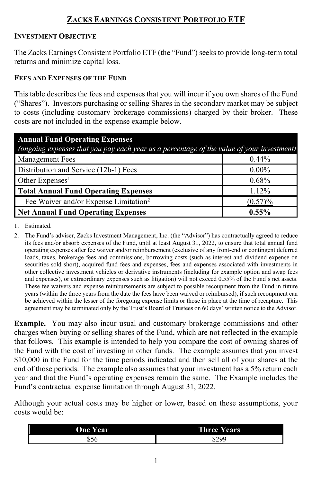## **ZACKS EARNINGS CONSISTENT PORTFOLIO ETF**

#### <span id="page-4-0"></span>**INVESTMENT OBJECTIVE**

The Zacks Earnings Consistent Portfolio ETF (the "Fund") seeks to provide long-term total returns and minimize capital loss.

#### **FEES AND EXPENSES OF THE FUND**

This table describes the fees and expenses that you will incur if you own shares of the Fund ("Shares"). Investors purchasing or selling Shares in the secondary market may be subject to costs (including customary brokerage commissions) charged by their broker. These costs are not included in the expense example below.

| <b>Annual Fund Operating Expenses</b>                                                     |            |  |  |
|-------------------------------------------------------------------------------------------|------------|--|--|
| (ongoing expenses that you pay each year as a percentage of the value of your investment) |            |  |  |
| <b>Management Fees</b>                                                                    | $0.44\%$   |  |  |
| Distribution and Service (12b-1) Fees                                                     | $0.00\%$   |  |  |
| Other Expenses <sup>1</sup>                                                               | 0.68%      |  |  |
| <b>Total Annual Fund Operating Expenses</b>                                               | 1.12%      |  |  |
| Fee Waiver and/or Expense Limitation <sup>2</sup>                                         | $(0.57)\%$ |  |  |
| <b>Net Annual Fund Operating Expenses</b>                                                 | $0.55\%$   |  |  |

1. Estimated.

2. The Fund's adviser, Zacks Investment Management, Inc. (the "Advisor") has contractually agreed to reduce its fees and/or absorb expenses of the Fund, until at least August 31, 2022, to ensure that total annual fund operating expenses after fee waiver and/or reimbursement (exclusive of any front-end or contingent deferred loads, taxes, brokerage fees and commissions, borrowing costs (such as interest and dividend expense on securities sold short), acquired fund fees and expenses, fees and expenses associated with investments in other collective investment vehicles or derivative instruments (including for example option and swap fees and expenses), or extraordinary expenses such as litigation) will not exceed 0.55% of the Fund's net assets. These fee waivers and expense reimbursements are subject to possible recoupment from the Fund in future years (within the three years from the date the fees have been waived or reimbursed), if such recoupment can be achieved within the lesser of the foregoing expense limits or those in place at the time of recapture. This agreement may be terminated only by the Trust's Board of Trustees on 60 days' written notice to the Advisor.

**Example.** You may also incur usual and customary brokerage commissions and other charges when buying or selling shares of the Fund, which are not reflected in the example that follows. This example is intended to help you compare the cost of owning shares of the Fund with the cost of investing in other funds. The example assumes that you invest \$10,000 in the Fund for the time periods indicated and then sell all of your shares at the end of those periods. The example also assumes that your investment has a 5% return each year and that the Fund's operating expenses remain the same. The Example includes the Fund's contractual expense limitation through August 31, 2022.

Although your actual costs may be higher or lower, based on these assumptions, your costs would be:

| One Year | <b>Three</b><br><b>Years</b> |  |
|----------|------------------------------|--|
| -        | <b>ድን 00</b>                 |  |
| ააი      | لا ∠0                        |  |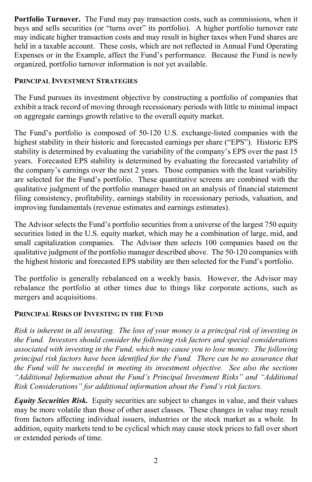**Portfolio Turnover.** The Fund may pay transaction costs, such as commissions, when it buys and sells securities (or "turns over" its portfolio). A higher portfolio turnover rate may indicate higher transaction costs and may result in higher taxes when Fund shares are held in a taxable account. These costs, which are not reflected in Annual Fund Operating Expenses or in the Example, affect the Fund's performance. Because the Fund is newly organized, portfolio turnover information is not yet available.

#### **PRINCIPAL INVESTMENT STRATEGIES**

The Fund pursues its investment objective by constructing a portfolio of companies that exhibit a track record of moving through recessionary periods with little to minimal impact on aggregate earnings growth relative to the overall equity market.

The Fund's portfolio is composed of 50-120 U.S. exchange-listed companies with the highest stability in their historic and forecasted earnings per share ("EPS"). Historic EPS stability is determined by evaluating the variability of the company's EPS over the past 15 years. Forecasted EPS stability is determined by evaluating the forecasted variability of the company's earnings over the next 2 years. Those companies with the least variability are selected for the Fund's portfolio. These quantitative screens are combined with the qualitative judgment of the portfolio manager based on an analysis of financial statement filing consistency, profitability, earnings stability in recessionary periods, valuation, and improving fundamentals (revenue estimates and earnings estimates).

The Advisor selects the Fund's portfolio securities from a universe of the largest 750 equity securities listed in the U.S. equity market, which may be a combination of large, mid, and small capitalization companies. The Advisor then selects 100 companies based on the qualitative judgment of the portfolio manager described above. The 50-120 companies with the highest historic and forecasted EPS stability are then selected for the Fund's portfolio.

The portfolio is generally rebalanced on a weekly basis. However, the Advisor may rebalance the portfolio at other times due to things like corporate actions, such as mergers and acquisitions.

## **PRINCIPAL RISKS OF INVESTING IN THE FUND**

*Risk is inherent in all investing. The loss of your money is a principal risk of investing in the Fund. Investors should consider the following risk factors and special considerations associated with investing in the Fund, which may cause you to lose money. The following principal risk factors have been identified for the Fund. There can be no assurance that the Fund will be successful in meeting its investment objective. See also the sections "Additional Information about the Fund's Principal Investment Risks" and "Additional Risk Considerations" for additional information about the Fund's risk factors.*

*Equity Securities Risk.* Equity securities are subject to changes in value, and their values may be more volatile than those of other asset classes. These changes in value may result from factors affecting individual issuers, industries or the stock market as a whole. In addition, equity markets tend to be cyclical which may cause stock prices to fall over short or extended periods of time.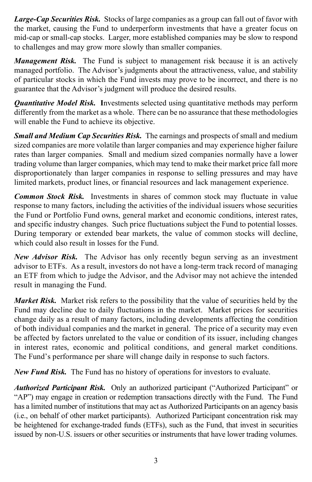*Large-Cap Securities Risk.* Stocks of large companies as a group can fall out of favor with the market, causing the Fund to underperform investments that have a greater focus on mid-cap or small-cap stocks. Larger, more established companies may be slow to respond to challenges and may grow more slowly than smaller companies.

*Management Risk.* The Fund is subject to management risk because it is an actively managed portfolio. The Advisor's judgments about the attractiveness, value, and stability of particular stocks in which the Fund invests may prove to be incorrect, and there is no guarantee that the Advisor's judgment will produce the desired results.

*Quantitative Model Risk.* **I**nvestments selected using quantitative methods may perform differently from the market as a whole. There can be no assurance that these methodologies will enable the Fund to achieve its objective.

*Small and Medium Cap Securities Risk.* The earnings and prospects of small and medium sized companies are more volatile than larger companies and may experience higher failure rates than larger companies. Small and medium sized companies normally have a lower trading volume than larger companies, which may tend to make their market price fall more disproportionately than larger companies in response to selling pressures and may have limited markets, product lines, or financial resources and lack management experience.

*Common Stock Risk.* Investments in shares of common stock may fluctuate in value response to many factors, including the activities of the individual issuers whose securities the Fund or Portfolio Fund owns, general market and economic conditions, interest rates, and specific industry changes. Such price fluctuations subject the Fund to potential losses. During temporary or extended bear markets, the value of common stocks will decline, which could also result in losses for the Fund.

*New Advisor Risk.* The Advisor has only recently begun serving as an investment advisor to ETFs. As a result, investors do not have a long-term track record of managing an ETF from which to judge the Advisor, and the Advisor may not achieve the intended result in managing the Fund.

*Market Risk.* Market risk refers to the possibility that the value of securities held by the Fund may decline due to daily fluctuations in the market. Market prices for securities change daily as a result of many factors, including developments affecting the condition of both individual companies and the market in general. The price of a security may even be affected by factors unrelated to the value or condition of its issuer, including changes in interest rates, economic and political conditions, and general market conditions. The Fund's performance per share will change daily in response to such factors.

*New Fund Risk.* The Fund has no history of operations for investors to evaluate.

*Authorized Participant Risk.* Only an authorized participant ("Authorized Participant" or "AP") may engage in creation or redemption transactions directly with the Fund. The Fund has a limited number of institutions that may act as Authorized Participants on an agency basis (i.e., on behalf of other market participants). Authorized Participant concentration risk may be heightened for exchange-traded funds (ETFs), such as the Fund, that invest in securities issued by non-U.S. issuers or other securities or instruments that have lower trading volumes.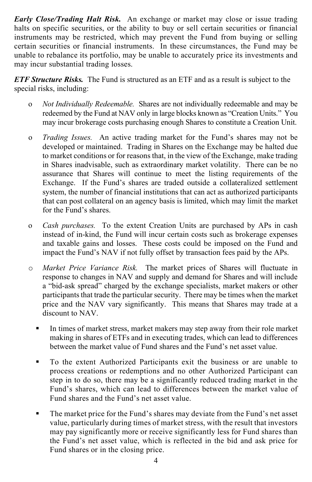*Early Close/Trading Halt Risk.*An exchange or market may close or issue trading halts on specific securities, or the ability to buy or sell certain securities or financial instruments may be restricted, which may prevent the Fund from buying or selling certain securities or financial instruments. In these circumstances, the Fund may be unable to rebalance its portfolio, may be unable to accurately price its investments and may incur substantial trading losses.

*ETF Structure Risks.* The Fund is structured as an ETF and as a result is subject to the special risks, including:

- o *Not Individually Redeemable.* Shares are not individually redeemable and may be redeemed by the Fund at NAV only in large blocks known as "Creation Units." You may incur brokerage costs purchasing enough Shares to constitute a Creation Unit.
- o *Trading Issues.* An active trading market for the Fund's shares may not be developed or maintained. Trading in Shares on the Exchange may be halted due to market conditions or for reasons that, in the view of the Exchange, make trading in Shares inadvisable, such as extraordinary market volatility. There can be no assurance that Shares will continue to meet the listing requirements of the Exchange. If the Fund's shares are traded outside a collateralized settlement system, the number of financial institutions that can act as authorized participants that can post collateral on an agency basis is limited, which may limit the market for the Fund's shares.
- o *Cash purchases.* To the extent Creation Units are purchased by APs in cash instead of in-kind, the Fund will incur certain costs such as brokerage expenses and taxable gains and losses. These costs could be imposed on the Fund and impact the Fund's NAV if not fully offset by transaction fees paid by the APs.
- o *Market Price Variance Risk.* The market prices of Shares will fluctuate in response to changes in NAV and supply and demand for Shares and will include a "bid-ask spread" charged by the exchange specialists, market makers or other participants that trade the particular security. There may be times when the market price and the NAV vary significantly. This means that Shares may trade at a discount to NAV.
	- In times of market stress, market makers may step away from their role market making in shares of ETFs and in executing trades, which can lead to differences between the market value of Fund shares and the Fund's net asset value.
	- To the extent Authorized Participants exit the business or are unable to process creations or redemptions and no other Authorized Participant can step in to do so, there may be a significantly reduced trading market in the Fund's shares, which can lead to differences between the market value of Fund shares and the Fund's net asset value.
	- The market price for the Fund's shares may deviate from the Fund's net asset value, particularly during times of market stress, with the result that investors may pay significantly more or receive significantly less for Fund shares than the Fund's net asset value, which is reflected in the bid and ask price for Fund shares or in the closing price.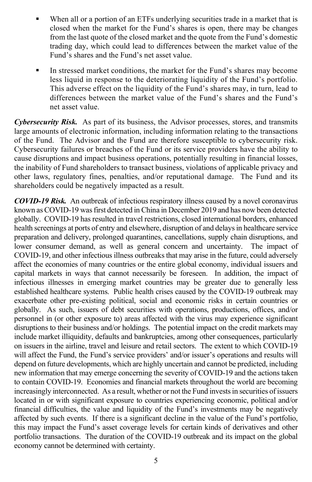- When all or a portion of an ETFs underlying securities trade in a market that is closed when the market for the Fund's shares is open, there may be changes from the last quote of the closed market and the quote from the Fund's domestic trading day, which could lead to differences between the market value of the Fund's shares and the Fund's net asset value.
- In stressed market conditions, the market for the Fund's shares may become less liquid in response to the deteriorating liquidity of the Fund's portfolio. This adverse effect on the liquidity of the Fund's shares may, in turn, lead to differences between the market value of the Fund's shares and the Fund's net asset value.

*Cybersecurity Risk.* As part of its business, the Advisor processes, stores, and transmits large amounts of electronic information, including information relating to the transactions of the Fund. The Advisor and the Fund are therefore susceptible to cybersecurity risk. Cybersecurity failures or breaches of the Fund or its service providers have the ability to cause disruptions and impact business operations, potentially resulting in financial losses, the inability of Fund shareholders to transact business, violations of applicable privacy and other laws, regulatory fines, penalties, and/or reputational damage. The Fund and its shareholders could be negatively impacted as a result.

*COVID-19 Risk.* An outbreak of infectious respiratory illness caused by a novel coronavirus known as COVID-19 was first detected in China in December 2019 and has now been detected globally. COVID-19 has resulted in travel restrictions, closed international borders, enhanced health screenings at ports of entry and elsewhere, disruption of and delays in healthcare service preparation and delivery, prolonged quarantines, cancellations, supply chain disruptions, and lower consumer demand, as well as general concern and uncertainty. The impact of COVID-19, and other infectious illness outbreaks that may arise in the future, could adversely affect the economies of many countries or the entire global economy, individual issuers and capital markets in ways that cannot necessarily be foreseen. In addition, the impact of infectious illnesses in emerging market countries may be greater due to generally less established healthcare systems. Public health crises caused by the COVID-19 outbreak may exacerbate other pre-existing political, social and economic risks in certain countries or globally. As such, issuers of debt securities with operations, productions, offices, and/or personnel in (or other exposure to) areas affected with the virus may experience significant disruptions to their business and/or holdings. The potential impact on the credit markets may include market illiquidity, defaults and bankruptcies, among other consequences, particularly on issuers in the airline, travel and leisure and retail sectors. The extent to which COVID-19 will affect the Fund, the Fund's service providers' and/or issuer's operations and results will depend on future developments, which are highly uncertain and cannot be predicted, including new information that may emerge concerning the severity of COVID-19 and the actions taken to contain COVID-19. Economies and financial markets throughout the world are becoming increasingly interconnected. As a result, whether or not the Fund invests in securities of issuers located in or with significant exposure to countries experiencing economic, political and/or financial difficulties, the value and liquidity of the Fund's investments may be negatively affected by such events. If there is a significant decline in the value of the Fund's portfolio, this may impact the Fund's asset coverage levels for certain kinds of derivatives and other portfolio transactions. The duration of the COVID-19 outbreak and its impact on the global economy cannot be determined with certainty.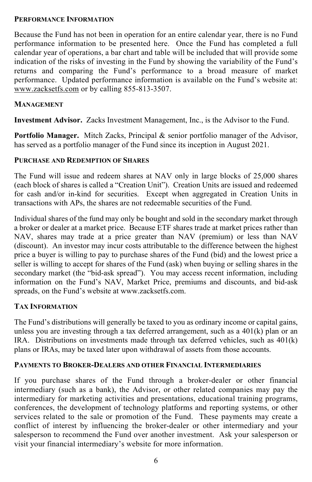#### **PERFORMANCE INFORMATION**

Because the Fund has not been in operation for an entire calendar year, there is no Fund performance information to be presented here. Once the Fund has completed a full calendar year of operations, a bar chart and table will be included that will provide some indication of the risks of investing in the Fund by showing the variability of the Fund's returns and comparing the Fund's performance to a broad measure of market performance. Updated performance information is available on the Fund's website at: [www.zacksetfs.com](http://www.zacksetfs.com/) or by calling 855-813-3507.

#### **MANAGEMENT**

**Investment Advisor.** Zacks Investment Management, Inc., is the Advisor to the Fund.

**Portfolio Manager.** Mitch Zacks, Principal & senior portfolio manager of the Advisor, has served as a portfolio manager of the Fund since its inception in August 2021.

#### **PURCHASE AND REDEMPTION OF SHARES**

The Fund will issue and redeem shares at NAV only in large blocks of 25,000 shares (each block of shares is called a "Creation Unit"). Creation Units are issued and redeemed for cash and/or in-kind for securities. Except when aggregated in Creation Units in transactions with APs, the shares are not redeemable securities of the Fund.

Individual shares of the fund may only be bought and sold in the secondary market through a broker or dealer at a market price. Because ETF shares trade at market prices rather than NAV, shares may trade at a price greater than NAV (premium) or less than NAV (discount). An investor may incur costs attributable to the difference between the highest price a buyer is willing to pay to purchase shares of the Fund (bid) and the lowest price a seller is willing to accept for shares of the Fund (ask) when buying or selling shares in the secondary market (the "bid-ask spread"). You may access recent information, including information on the Fund's NAV, Market Price, premiums and discounts, and bid-ask spreads, on the Fund's website at www.zacksetfs.com.

#### **TAX INFORMATION**

The Fund's distributions will generally be taxed to you as ordinary income or capital gains, unless you are investing through a tax deferred arrangement, such as a 401(k) plan or an IRA. Distributions on investments made through tax deferred vehicles, such as 401(k) plans or IRAs, may be taxed later upon withdrawal of assets from those accounts.

#### **PAYMENTS TO BROKER-DEALERS AND OTHER FINANCIAL INTERMEDIARIES**

If you purchase shares of the Fund through a broker-dealer or other financial intermediary (such as a bank), the Advisor, or other related companies may pay the intermediary for marketing activities and presentations, educational training programs, conferences, the development of technology platforms and reporting systems, or other services related to the sale or promotion of the Fund. These payments may create a conflict of interest by influencing the broker-dealer or other intermediary and your salesperson to recommend the Fund over another investment. Ask your salesperson or visit your financial intermediary's website for more information.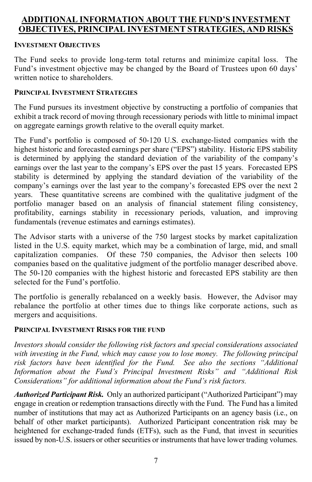## <span id="page-10-0"></span>**ADDITIONAL INFORMATION ABOUT THE FUND'S INVESTMENT OBJECTIVES, PRINCIPAL INVESTMENT STRATEGIES, AND RISKS**

#### **INVESTMENT OBJECTIVES**

The Fund seeks to provide long-term total returns and minimize capital loss. The Fund's investment objective may be changed by the Board of Trustees upon 60 days' written notice to shareholders.

#### **PRINCIPAL INVESTMENT STRATEGIES**

The Fund pursues its investment objective by constructing a portfolio of companies that exhibit a track record of moving through recessionary periods with little to minimal impact on aggregate earnings growth relative to the overall equity market.

The Fund's portfolio is composed of 50-120 U.S. exchange-listed companies with the highest historic and forecasted earnings per share ("EPS") stability. Historic EPS stability is determined by applying the standard deviation of the variability of the company's earnings over the last year to the company's EPS over the past 15 years. Forecasted EPS stability is determined by applying the standard deviation of the variability of the company's earnings over the last year to the company's forecasted EPS over the next 2 years. These quantitative screens are combined with the qualitative judgment of the portfolio manager based on an analysis of financial statement filing consistency, profitability, earnings stability in recessionary periods, valuation, and improving fundamentals (revenue estimates and earnings estimates).

The Advisor starts with a universe of the 750 largest stocks by market capitalization listed in the U.S. equity market, which may be a combination of large, mid, and small capitalization companies. Of these 750 companies, the Advisor then selects 100 companies based on the qualitative judgment of the portfolio manager described above. The 50-120 companies with the highest historic and forecasted EPS stability are then selected for the Fund's portfolio.

The portfolio is generally rebalanced on a weekly basis. However, the Advisor may rebalance the portfolio at other times due to things like corporate actions, such as mergers and acquisitions.

#### **PRINCIPAL INVESTMENT RISKS FOR THE FUND**

*Investors should consider the following risk factors and special considerations associated with investing in the Fund, which may cause you to lose money. The following principal risk factors have been identified for the Fund. See also the sections "Additional Information about the Fund's Principal Investment Risks" and "Additional Risk Considerations" for additional information about the Fund's risk factors.*

*Authorized Participant Risk.* Only an authorized participant ("Authorized Participant") may engage in creation or redemption transactions directly with the Fund. The Fund has a limited number of institutions that may act as Authorized Participants on an agency basis (i.e., on behalf of other market participants). Authorized Participant concentration risk may be heightened for exchange-traded funds (ETFs), such as the Fund, that invest in securities issued by non-U.S. issuers or other securities or instruments that have lower trading volumes.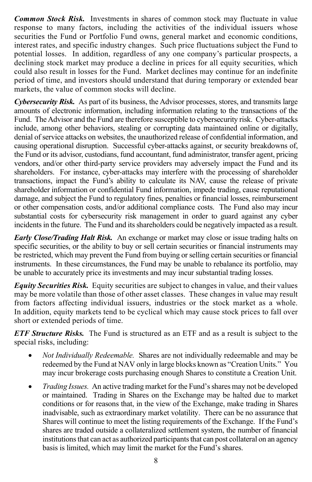*Common Stock Risk.* Investments in shares of common stock may fluctuate in value response to many factors, including the activities of the individual issuers whose securities the Fund or Portfolio Fund owns, general market and economic conditions, interest rates, and specific industry changes. Such price fluctuations subject the Fund to potential losses. In addition, regardless of any one company's particular prospects, a declining stock market may produce a decline in prices for all equity securities, which could also result in losses for the Fund. Market declines may continue for an indefinite period of time, and investors should understand that during temporary or extended bear markets, the value of common stocks will decline.

*Cybersecurity Risk.* As part of its business, the Advisor processes, stores, and transmits large amounts of electronic information, including information relating to the transactions of the Fund. The Advisor and the Fund are therefore susceptible to cybersecurity risk. Cyber-attacks include, among other behaviors, stealing or corrupting data maintained online or digitally, denial of service attacks on websites, the unauthorized release of confidential information, and causing operational disruption. Successful cyber-attacks against, or security breakdowns of, the Fund or its advisor, custodians, fund accountant, fund administrator, transfer agent, pricing vendors, and/or other third-party service providers may adversely impact the Fund and its shareholders. For instance, cyber-attacks may interfere with the processing of shareholder transactions, impact the Fund's ability to calculate its NAV, cause the release of private shareholder information or confidential Fund information, impede trading, cause reputational damage, and subject the Fund to regulatory fines, penalties or financial losses, reimbursement or other compensation costs, and/or additional compliance costs. The Fund also may incur substantial costs for cybersecurity risk management in order to guard against any cyber incidents in the future. The Fund and its shareholders could be negatively impacted as a result.

*Early Close/Trading Halt Risk.* An exchange or market may close or issue trading halts on specific securities, or the ability to buy or sell certain securities or financial instruments may be restricted, which may prevent the Fund from buying or selling certain securities or financial instruments. In these circumstances, the Fund may be unable to rebalance its portfolio, may be unable to accurately price its investments and may incur substantial trading losses.

*Equity Securities Risk.* Equity securities are subject to changes in value, and their values may be more volatile than those of other asset classes. These changes in value may result from factors affecting individual issuers, industries or the stock market as a whole. In addition, equity markets tend to be cyclical which may cause stock prices to fall over short or extended periods of time.

*ETF Structure Risks.* The Fund is structured as an ETF and as a result is subject to the special risks, including:

- *Not Individually Redeemable.* Shares are not individually redeemable and may be redeemed by the Fund at NAV only in large blocks known as "Creation Units." You may incur brokerage costs purchasing enough Shares to constitute a Creation Unit.
- *Trading Issues.* An active trading market for the Fund's shares may not be developed or maintained. Trading in Shares on the Exchange may be halted due to market conditions or for reasons that, in the view of the Exchange, make trading in Shares inadvisable, such as extraordinary market volatility. There can be no assurance that Shares will continue to meet the listing requirements of the Exchange. If the Fund's shares are traded outside a collateralized settlement system, the number of financial institutions that can act as authorized participants that can post collateral on an agency basis is limited, which may limit the market for the Fund's shares.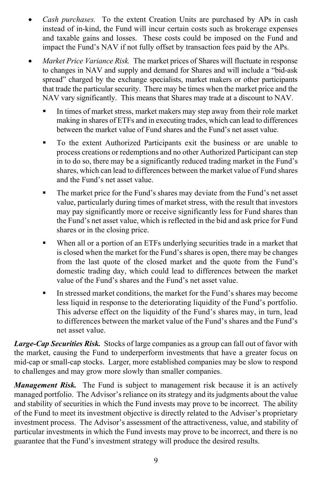- *Cash purchases.* To the extent Creation Units are purchased by APs in cash instead of in-kind, the Fund will incur certain costs such as brokerage expenses and taxable gains and losses. These costs could be imposed on the Fund and impact the Fund's NAV if not fully offset by transaction fees paid by the APs.
- *Market Price Variance Risk.* The market prices of Shares will fluctuate in response to changes in NAV and supply and demand for Shares and will include a "bid-ask spread" charged by the exchange specialists, market makers or other participants that trade the particular security. There may be times when the market price and the NAV vary significantly. This means that Shares may trade at a discount to NAV.
	- In times of market stress, market makers may step away from their role market making in shares of ETFs and in executing trades, which can lead to differences between the market value of Fund shares and the Fund's net asset value.
	- To the extent Authorized Participants exit the business or are unable to process creations or redemptions and no other Authorized Participant can step in to do so, there may be a significantly reduced trading market in the Fund's shares, which can lead to differences between the market value of Fund shares and the Fund's net asset value.
	- The market price for the Fund's shares may deviate from the Fund's net asset value, particularly during times of market stress, with the result that investors may pay significantly more or receive significantly less for Fund shares than the Fund's net asset value, which is reflected in the bid and ask price for Fund shares or in the closing price.
	- When all or a portion of an ETFs underlying securities trade in a market that is closed when the market for the Fund's shares is open, there may be changes from the last quote of the closed market and the quote from the Fund's domestic trading day, which could lead to differences between the market value of the Fund's shares and the Fund's net asset value.
	- In stressed market conditions, the market for the Fund's shares may become less liquid in response to the deteriorating liquidity of the Fund's portfolio. This adverse effect on the liquidity of the Fund's shares may, in turn, lead to differences between the market value of the Fund's shares and the Fund's net asset value.

*Large-Cap Securities Risk.* Stocks of large companies as a group can fall out of favor with the market, causing the Fund to underperform investments that have a greater focus on mid-cap or small-cap stocks. Larger, more established companies may be slow to respond to challenges and may grow more slowly than smaller companies.

*Management Risk.* The Fund is subject to management risk because it is an actively managed portfolio. The Advisor's reliance on its strategy and its judgments about the value and stability of securities in which the Fund invests may prove to be incorrect. The ability of the Fund to meet its investment objective is directly related to the Adviser's proprietary investment process. The Advisor's assessment of the attractiveness, value, and stability of particular investments in which the Fund invests may prove to be incorrect, and there is no guarantee that the Fund's investment strategy will produce the desired results.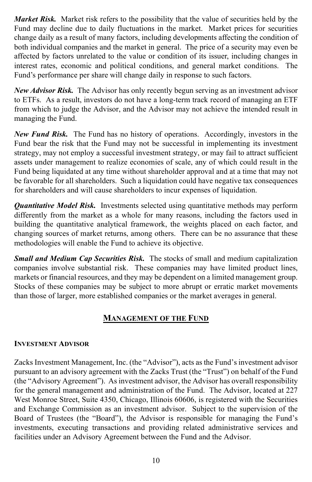*Market Risk.* Market risk refers to the possibility that the value of securities held by the Fund may decline due to daily fluctuations in the market. Market prices for securities change daily as a result of many factors, including developments affecting the condition of both individual companies and the market in general. The price of a security may even be affected by factors unrelated to the value or condition of its issuer, including changes in interest rates, economic and political conditions, and general market conditions. The Fund's performance per share will change daily in response to such factors.

*New Advisor Risk.* The Advisor has only recently begun serving as an investment advisor to ETFs. As a result, investors do not have a long-term track record of managing an ETF from which to judge the Advisor, and the Advisor may not achieve the intended result in managing the Fund.

*New Fund Risk.* The Fund has no history of operations. Accordingly, investors in the Fund bear the risk that the Fund may not be successful in implementing its investment strategy, may not employ a successful investment strategy, or may fail to attract sufficient assets under management to realize economies of scale, any of which could result in the Fund being liquidated at any time without shareholder approval and at a time that may not be favorable for all shareholders. Such a liquidation could have negative tax consequences for shareholders and will cause shareholders to incur expenses of liquidation.

*Quantitative Model Risk.* Investments selected using quantitative methods may perform differently from the market as a whole for many reasons, including the factors used in building the quantitative analytical framework, the weights placed on each factor, and changing sources of market returns, among others. There can be no assurance that these methodologies will enable the Fund to achieve its objective.

*Small and Medium Cap Securities Risk.* The stocks of small and medium capitalization companies involve substantial risk. These companies may have limited product lines, markets or financial resources, and they may be dependent on a limited management group. Stocks of these companies may be subject to more abrupt or erratic market movements than those of larger, more established companies or the market averages in general.

## **MANAGEMENT OF THE FUND**

## <span id="page-13-0"></span>**INVESTMENT ADVISOR**

Zacks Investment Management, Inc. (the "Advisor"), acts as the Fund's investment advisor pursuant to an advisory agreement with the Zacks Trust (the "Trust") on behalf of the Fund (the "Advisory Agreement"). As investment advisor, the Advisor has overall responsibility for the general management and administration of the Fund. The Advisor, located at 227 West Monroe Street, Suite 4350, Chicago, Illinois 60606, is registered with the Securities and Exchange Commission as an investment advisor. Subject to the supervision of the Board of Trustees (the "Board"), the Advisor is responsible for managing the Fund's investments, executing transactions and providing related administrative services and facilities under an Advisory Agreement between the Fund and the Advisor.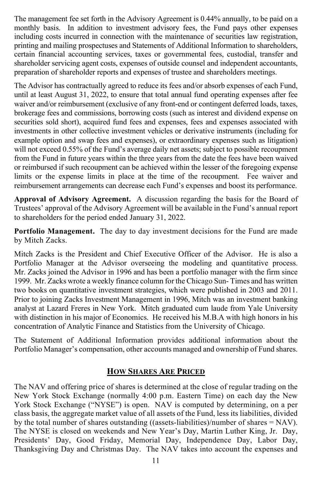The management fee set forth in the Advisory Agreement is 0.44% annually, to be paid on a monthly basis. In addition to investment advisory fees, the Fund pays other expenses including costs incurred in connection with the maintenance of securities law registration, printing and mailing prospectuses and Statements of Additional Information to shareholders, certain financial accounting services, taxes or governmental fees, custodial, transfer and shareholder servicing agent costs, expenses of outside counsel and independent accountants, preparation of shareholder reports and expenses of trustee and shareholders meetings.

The Advisor has contractually agreed to reduce its fees and/or absorb expenses of each Fund, until at least August 31, 2022, to ensure that total annual fund operating expenses after fee waiver and/or reimbursement (exclusive of any front-end or contingent deferred loads, taxes, brokerage fees and commissions, borrowing costs (such as interest and dividend expense on securities sold short), acquired fund fees and expenses, fees and expenses associated with investments in other collective investment vehicles or derivative instruments (including for example option and swap fees and expenses), or extraordinary expenses such as litigation) will not exceed 0.55% of the Fund's average daily net assets; subject to possible recoupment from the Fund in future years within the three years from the date the fees have been waived or reimbursed if such recoupment can be achieved within the lesser of the foregoing expense limits or the expense limits in place at the time of the recoupment. Fee waiver and reimbursement arrangements can decrease each Fund's expenses and boost its performance.

**Approval of Advisory Agreement.** A discussion regarding the basis for the Board of Trustees' approval of the Advisory Agreement will be available in the Fund's annual report to shareholders for the period ended January 31, 2022.

**Portfolio Management.** The day to day investment decisions for the Fund are made by Mitch Zacks.

Mitch Zacks is the President and Chief Executive Officer of the Advisor. He is also a Portfolio Manager at the Advisor overseeing the modeling and quantitative process. Mr. Zacks joined the Advisor in 1996 and has been a portfolio manager with the firm since 1999. Mr. Zacks wrote a weekly finance column for the Chicago Sun- Times and has written two books on quantitative investment strategies, which were published in 2003 and 2011. Prior to joining Zacks Investment Management in 1996, Mitch was an investment banking analyst at Lazard Freres in New York. Mitch graduated cum laude from Yale University with distinction in his major of Economics. He received his M.B.A with high honors in his concentration of Analytic Finance and Statistics from the University of Chicago.

<span id="page-14-0"></span>The Statement of Additional Information provides additional information about the Portfolio Manager's compensation, other accounts managed and ownership of Fund shares.

## **HOW SHARES ARE PRICED**

The NAV and offering price of shares is determined at the close of regular trading on the New York Stock Exchange (normally 4:00 p.m. Eastern Time) on each day the New York Stock Exchange ("NYSE") is open. NAV is computed by determining, on a per class basis, the aggregate market value of all assets of the Fund, less its liabilities, divided by the total number of shares outstanding ((assets-liabilities)/number of shares = NAV). The NYSE is closed on weekends and New Year's Day, Martin Luther King, Jr. Day, Presidents' Day, Good Friday, Memorial Day, Independence Day, Labor Day, Thanksgiving Day and Christmas Day. The NAV takes into account the expenses and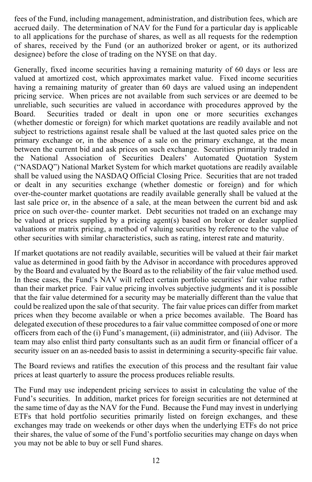fees of the Fund, including management, administration, and distribution fees, which are accrued daily. The determination of NAV for the Fund for a particular day is applicable to all applications for the purchase of shares, as well as all requests for the redemption of shares, received by the Fund (or an authorized broker or agent, or its authorized designee) before the close of trading on the NYSE on that day.

Generally, fixed income securities having a remaining maturity of 60 days or less are valued at amortized cost, which approximates market value. Fixed income securities having a remaining maturity of greater than 60 days are valued using an independent pricing service. When prices are not available from such services or are deemed to be unreliable, such securities are valued in accordance with procedures approved by the Board Securities traded or dealt in upon one or more securities exchanges Securities traded or dealt in upon one or more securities exchanges (whether domestic or foreign) for which market quotations are readily available and not subject to restrictions against resale shall be valued at the last quoted sales price on the primary exchange or, in the absence of a sale on the primary exchange, at the mean between the current bid and ask prices on such exchange. Securities primarily traded in the National Association of Securities Dealers' Automated Quotation System ("NASDAQ") National Market System for which market quotations are readily available shall be valued using the NASDAQ Official Closing Price. Securities that are not traded or dealt in any securities exchange (whether domestic or foreign) and for which over-the-counter market quotations are readily available generally shall be valued at the last sale price or, in the absence of a sale, at the mean between the current bid and ask price on such over-the- counter market. Debt securities not traded on an exchange may be valued at prices supplied by a pricing agent(s) based on broker or dealer supplied valuations or matrix pricing, a method of valuing securities by reference to the value of other securities with similar characteristics, such as rating, interest rate and maturity.

If market quotations are not readily available, securities will be valued at their fair market value as determined in good faith by the Advisor in accordance with procedures approved by the Board and evaluated by the Board as to the reliability of the fair value method used. In these cases, the Fund's NAV will reflect certain portfolio securities' fair value rather than their market price. Fair value pricing involves subjective judgments and it is possible that the fair value determined for a security may be materially different than the value that could be realized upon the sale of that security. The fair value prices can differ from market prices when they become available or when a price becomes available. The Board has delegated execution of these procedures to a fair value committee composed of one or more officers from each of the (i) Fund's management, (ii) administrator, and (iii) Advisor. The team may also enlist third party consultants such as an audit firm or financial officer of a security issuer on an as-needed basis to assist in determining a security-specific fair value.

The Board reviews and ratifies the execution of this process and the resultant fair value prices at least quarterly to assure the process produces reliable results.

The Fund may use independent pricing services to assist in calculating the value of the Fund's securities. In addition, market prices for foreign securities are not determined at the same time of day as the NAV for the Fund. Because the Fund may invest in underlying ETFs that hold portfolio securities primarily listed on foreign exchanges, and these exchanges may trade on weekends or other days when the underlying ETFs do not price their shares, the value of some of the Fund's portfolio securities may change on days when you may not be able to buy or sell Fund shares.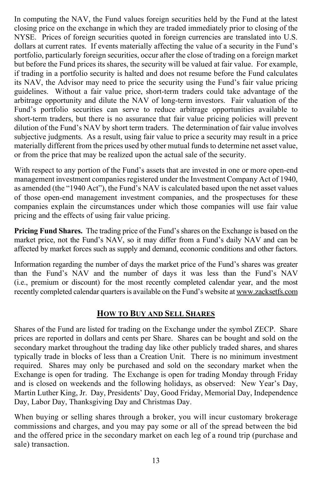In computing the NAV, the Fund values foreign securities held by the Fund at the latest closing price on the exchange in which they are traded immediately prior to closing of the NYSE. Prices of foreign securities quoted in foreign currencies are translated into U.S. dollars at current rates. If events materially affecting the value of a security in the Fund's portfolio, particularly foreign securities, occur after the close of trading on a foreign market but before the Fund prices its shares, the security will be valued at fair value. For example, if trading in a portfolio security is halted and does not resume before the Fund calculates its NAV, the Advisor may need to price the security using the Fund's fair value pricing guidelines. Without a fair value price, short-term traders could take advantage of the arbitrage opportunity and dilute the NAV of long-term investors. Fair valuation of the Fund's portfolio securities can serve to reduce arbitrage opportunities available to short-term traders, but there is no assurance that fair value pricing policies will prevent dilution of the Fund's NAV by short term traders. The determination of fair value involves subjective judgments. As a result, using fair value to price a security may result in a price materially different from the prices used by other mutual funds to determine net asset value, or from the price that may be realized upon the actual sale of the security.

With respect to any portion of the Fund's assets that are invested in one or more open-end management investment companies registered under the Investment Company Act of 1940, as amended (the "1940 Act"), the Fund's NAV is calculated based upon the net asset values of those open-end management investment companies, and the prospectuses for these companies explain the circumstances under which those companies will use fair value pricing and the effects of using fair value pricing.

**Pricing Fund Shares.** The trading price of the Fund's shares on the Exchange is based on the market price, not the Fund's NAV, so it may differ from a Fund's daily NAV and can be affected by market forces such as supply and demand, economic conditions and other factors.

Information regarding the number of days the market price of the Fund's shares was greater than the Fund's NAV and the number of days it was less than the Fund's NAV (i.e., premium or discount) for the most recently completed calendar year, and the most recently completed calendar quarters is available on the Fund's website a[t www.zacksetfs.com](http://www.zacksetfs.com/)

## **HOW TO BUY AND SELL SHARES**

<span id="page-16-0"></span>Shares of the Fund are listed for trading on the Exchange under the symbol ZECP. Share prices are reported in dollars and cents per Share. Shares can be bought and sold on the secondary market throughout the trading day like other publicly traded shares, and shares typically trade in blocks of less than a Creation Unit. There is no minimum investment required. Shares may only be purchased and sold on the secondary market when the Exchange is open for trading. The Exchange is open for trading Monday through Friday and is closed on weekends and the following holidays, as observed: New Year's Day, Martin Luther King, Jr. Day, Presidents' Day, Good Friday, Memorial Day, Independence Day, Labor Day, Thanksgiving Day and Christmas Day.

When buying or selling shares through a broker, you will incur customary brokerage commissions and charges, and you may pay some or all of the spread between the bid and the offered price in the secondary market on each leg of a round trip (purchase and sale) transaction.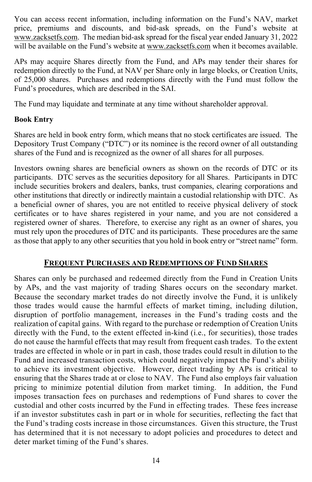You can access recent information, including information on the Fund's NAV, market price, premiums and discounts, and bid-ask spreads, on the Fund's website at [www.zacksetfs.com.](http://www.zacksetfs.com/) The median bid-ask spread for the fiscal year ended January 31, 2022 will be available on the Fund's website at [www.zacksetfs.com](http://www.zacksetfs.com/) when it becomes available.

APs may acquire Shares directly from the Fund, and APs may tender their shares for redemption directly to the Fund, at NAV per Share only in large blocks, or Creation Units, of 25,000 shares. Purchases and redemptions directly with the Fund must follow the Fund's procedures, which are described in the SAI.

The Fund may liquidate and terminate at any time without shareholder approval.

#### **Book Entry**

Shares are held in book entry form, which means that no stock certificates are issued. The Depository Trust Company ("DTC") or its nominee is the record owner of all outstanding shares of the Fund and is recognized as the owner of all shares for all purposes.

Investors owning shares are beneficial owners as shown on the records of DTC or its participants. DTC serves as the securities depository for all Shares. Participants in DTC include securities brokers and dealers, banks, trust companies, clearing corporations and other institutions that directly or indirectly maintain a custodial relationship with DTC. As a beneficial owner of shares, you are not entitled to receive physical delivery of stock certificates or to have shares registered in your name, and you are not considered a registered owner of shares. Therefore, to exercise any right as an owner of shares, you must rely upon the procedures of DTC and its participants. These procedures are the same as those that apply to any other securities that you hold in book entry or "street name" form.

## **FREQUENT PURCHASES AND REDEMPTIONS OF FUND SHARES**

<span id="page-17-0"></span>Shares can only be purchased and redeemed directly from the Fund in Creation Units by APs, and the vast majority of trading Shares occurs on the secondary market. Because the secondary market trades do not directly involve the Fund, it is unlikely those trades would cause the harmful effects of market timing, including dilution, disruption of portfolio management, increases in the Fund's trading costs and the realization of capital gains. With regard to the purchase or redemption of Creation Units directly with the Fund, to the extent effected in-kind (i.e., for securities), those trades do not cause the harmful effects that may result from frequent cash trades. To the extent trades are effected in whole or in part in cash, those trades could result in dilution to the Fund and increased transaction costs, which could negatively impact the Fund's ability to achieve its investment objective. However, direct trading by APs is critical to ensuring that the Shares trade at or close to NAV. The Fund also employs fair valuation pricing to minimize potential dilution from market timing. In addition, the Fund imposes transaction fees on purchases and redemptions of Fund shares to cover the custodial and other costs incurred by the Fund in effecting trades. These fees increase if an investor substitutes cash in part or in whole for securities, reflecting the fact that the Fund's trading costs increase in those circumstances. Given this structure, the Trust has determined that it is not necessary to adopt policies and procedures to detect and deter market timing of the Fund's shares.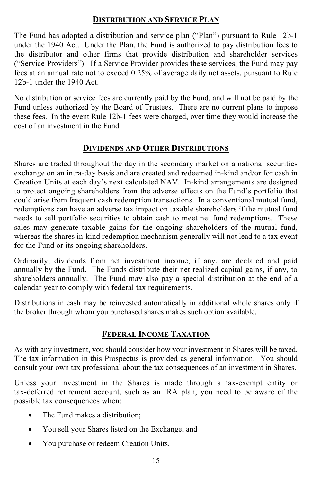## **DISTRIBUTION AND SERVICE PLAN**

<span id="page-18-0"></span>The Fund has adopted a distribution and service plan ("Plan") pursuant to Rule 12b-1 under the 1940 Act. Under the Plan, the Fund is authorized to pay distribution fees to the distributor and other firms that provide distribution and shareholder services ("Service Providers"). If a Service Provider provides these services, the Fund may pay fees at an annual rate not to exceed 0.25% of average daily net assets, pursuant to Rule 12b-1 under the 1940 Act.

No distribution or service fees are currently paid by the Fund, and will not be paid by the Fund unless authorized by the Board of Trustees. There are no current plans to impose these fees. In the event Rule 12b-1 fees were charged, over time they would increase the cost of an investment in the Fund.

## **DIVIDENDS AND OTHER DISTRIBUTIONS**

<span id="page-18-1"></span>Shares are traded throughout the day in the secondary market on a national securities exchange on an intra-day basis and are created and redeemed in-kind and/or for cash in Creation Units at each day's next calculated NAV. In-kind arrangements are designed to protect ongoing shareholders from the adverse effects on the Fund's portfolio that could arise from frequent cash redemption transactions. In a conventional mutual fund, redemptions can have an adverse tax impact on taxable shareholders if the mutual fund needs to sell portfolio securities to obtain cash to meet net fund redemptions. These sales may generate taxable gains for the ongoing shareholders of the mutual fund, whereas the shares in-kind redemption mechanism generally will not lead to a tax event for the Fund or its ongoing shareholders.

Ordinarily, dividends from net investment income, if any, are declared and paid annually by the Fund. The Funds distribute their net realized capital gains, if any, to shareholders annually. The Fund may also pay a special distribution at the end of a calendar year to comply with federal tax requirements.

<span id="page-18-2"></span>Distributions in cash may be reinvested automatically in additional whole shares only if the broker through whom you purchased shares makes such option available.

## **FEDERAL INCOME TAXATION**

As with any investment, you should consider how your investment in Shares will be taxed. The tax information in this Prospectus is provided as general information. You should consult your own tax professional about the tax consequences of an investment in Shares.

Unless your investment in the Shares is made through a tax-exempt entity or tax-deferred retirement account, such as an IRA plan, you need to be aware of the possible tax consequences when:

- The Fund makes a distribution;
- You sell your Shares listed on the Exchange; and
- You purchase or redeem Creation Units.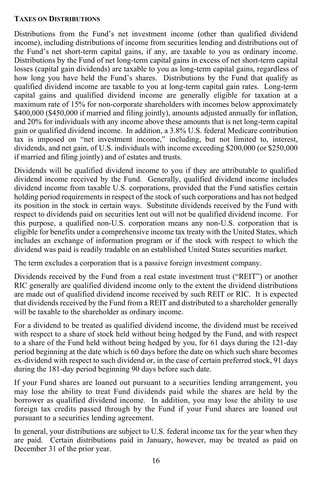#### **TAXES ON DISTRIBUTIONS**

Distributions from the Fund's net investment income (other than qualified dividend income), including distributions of income from securities lending and distributions out of the Fund's net short-term capital gains, if any, are taxable to you as ordinary income. Distributions by the Fund of net long-term capital gains in excess of net short-term capital losses (capital gain dividends) are taxable to you as long-term capital gains, regardless of how long you have held the Fund's shares. Distributions by the Fund that qualify as qualified dividend income are taxable to you at long-term capital gain rates. Long-term capital gains and qualified dividend income are generally eligible for taxation at a maximum rate of 15% for non-corporate shareholders with incomes below approximately \$400,000 (\$450,000 if married and filing jointly), amounts adjusted annually for inflation, and 20% for individuals with any income above these amounts that is net long-term capital gain or qualified dividend income. In addition, a 3.8% U.S. federal Medicare contribution tax is imposed on "net investment income," including, but not limited to, interest, dividends, and net gain, of U.S. individuals with income exceeding \$200,000 (or \$250,000 if married and filing jointly) and of estates and trusts.

Dividends will be qualified dividend income to you if they are attributable to qualified dividend income received by the Fund. Generally, qualified dividend income includes dividend income from taxable U.S. corporations, provided that the Fund satisfies certain holding period requirements in respect of the stock of such corporations and has not hedged its position in the stock in certain ways. Substitute dividends received by the Fund with respect to dividends paid on securities lent out will not be qualified dividend income. For this purpose, a qualified non-U.S. corporation means any non-U.S. corporation that is eligible for benefits under a comprehensive income tax treaty with the United States, which includes an exchange of information program or if the stock with respect to which the dividend was paid is readily tradable on an established United States securities market.

The term excludes a corporation that is a passive foreign investment company.

Dividends received by the Fund from a real estate investment trust ("REIT") or another RIC generally are qualified dividend income only to the extent the dividend distributions are made out of qualified dividend income received by such REIT or RIC. It is expected that dividends received by the Fund from a REIT and distributed to a shareholder generally will be taxable to the shareholder as ordinary income.

For a dividend to be treated as qualified dividend income, the dividend must be received with respect to a share of stock held without being hedged by the Fund, and with respect to a share of the Fund held without being hedged by you, for 61 days during the 121-day period beginning at the date which is 60 days before the date on which such share becomes ex-dividend with respect to such dividend or, in the case of certain preferred stock, 91 days during the 181-day period beginning 90 days before such date.

If your Fund shares are loaned out pursuant to a securities lending arrangement, you may lose the ability to treat Fund dividends paid while the shares are held by the borrower as qualified dividend income. In addition, you may lose the ability to use foreign tax credits passed through by the Fund if your Fund shares are loaned out pursuant to a securities lending agreement.

In general, your distributions are subject to U.S. federal income tax for the year when they are paid. Certain distributions paid in January, however, may be treated as paid on December 31 of the prior year.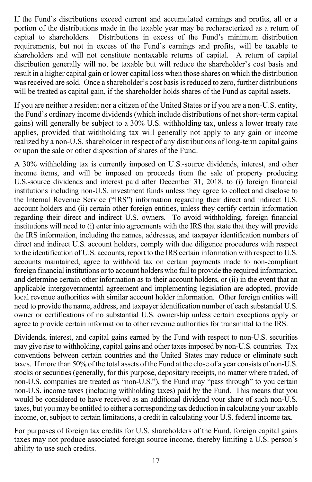If the Fund's distributions exceed current and accumulated earnings and profits, all or a portion of the distributions made in the taxable year may be recharacterized as a return of capital to shareholders. Distributions in excess of the Fund's minimum distribution requirements, but not in excess of the Fund's earnings and profits, will be taxable to shareholders and will not constitute nontaxable returns of capital. A return of capital distribution generally will not be taxable but will reduce the shareholder's cost basis and result in a higher capital gain or lower capital loss when those shares on which the distribution was received are sold. Once a shareholder's cost basis is reduced to zero, further distributions will be treated as capital gain, if the shareholder holds shares of the Fund as capital assets.

If you are neither a resident nor a citizen of the United States or if you are a non-U.S. entity, the Fund's ordinary income dividends (which include distributions of net short-term capital gains) will generally be subject to a 30% U.S. withholding tax, unless a lower treaty rate applies, provided that withholding tax will generally not apply to any gain or income realized by a non-U.S. shareholder in respect of any distributions of long-term capital gains or upon the sale or other disposition of shares of the Fund.

A 30% withholding tax is currently imposed on U.S.-source dividends, interest, and other income items, and will be imposed on proceeds from the sale of property producing U.S.-source dividends and interest paid after December 31, 2018, to (i) foreign financial institutions including non-U.S. investment funds unless they agree to collect and disclose to the Internal Revenue Service ("IRS") information regarding their direct and indirect U.S. account holders and (ii) certain other foreign entities, unless they certify certain information regarding their direct and indirect U.S. owners. To avoid withholding, foreign financial institutions will need to (i) enter into agreements with the IRS that state that they will provide the IRS information, including the names, addresses, and taxpayer identification numbers of direct and indirect U.S. account holders, comply with due diligence procedures with respect to the identification of U.S. accounts, report to the IRS certain information with respect to U.S. accounts maintained, agree to withhold tax on certain payments made to non-compliant foreign financial institutions or to account holders who fail to provide the required information, and determine certain other information as to their account holders, or (ii) in the event that an applicable intergovernmental agreement and implementing legislation are adopted, provide local revenue authorities with similar account holder information. Other foreign entities will need to provide the name, address, and taxpayer identification number of each substantial U.S. owner or certifications of no substantial U.S. ownership unless certain exceptions apply or agree to provide certain information to other revenue authorities for transmittal to the IRS.

Dividends, interest, and capital gains earned by the Fund with respect to non-U.S. securities may give rise to withholding, capital gains and other taxes imposed by non-U.S. countries. Tax conventions between certain countries and the United States may reduce or eliminate such taxes. If more than 50% of the total assets of the Fund at the close of a year consists of non-U.S. stocks or securities (generally, for this purpose, depositary receipts, no matter where traded, of non-U.S. companies are treated as "non-U.S."), the Fund may "pass through" to you certain non-U.S. income taxes (including withholding taxes) paid by the Fund. This means that you would be considered to have received as an additional dividend your share of such non-U.S. taxes, but you may be entitled to either a corresponding tax deduction in calculating your taxable income, or, subject to certain limitations, a credit in calculating your U.S. federal income tax.

For purposes of foreign tax credits for U.S. shareholders of the Fund, foreign capital gains taxes may not produce associated foreign source income, thereby limiting a U.S. person's ability to use such credits.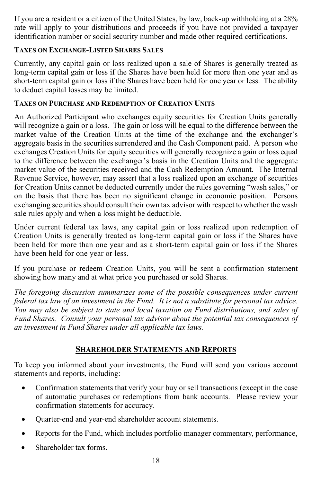If you are a resident or a citizen of the United States, by law, back-up withholding at a 28% rate will apply to your distributions and proceeds if you have not provided a taxpayer identification number or social security number and made other required certifications.

#### **TAXES ON EXCHANGE-LISTED SHARES SALES**

Currently, any capital gain or loss realized upon a sale of Shares is generally treated as long-term capital gain or loss if the Shares have been held for more than one year and as short-term capital gain or loss if the Shares have been held for one year or less. The ability to deduct capital losses may be limited.

#### **TAXES ON PURCHASE AND REDEMPTION OF CREATION UNITS**

An Authorized Participant who exchanges equity securities for Creation Units generally will recognize a gain or a loss. The gain or loss will be equal to the difference between the market value of the Creation Units at the time of the exchange and the exchanger's aggregate basis in the securities surrendered and the Cash Component paid. A person who exchanges Creation Units for equity securities will generally recognize a gain or loss equal to the difference between the exchanger's basis in the Creation Units and the aggregate market value of the securities received and the Cash Redemption Amount. The Internal Revenue Service, however, may assert that a loss realized upon an exchange of securities for Creation Units cannot be deducted currently under the rules governing "wash sales," or on the basis that there has been no significant change in economic position. Persons exchanging securities should consult their own tax advisor with respect to whether the wash sale rules apply and when a loss might be deductible.

Under current federal tax laws, any capital gain or loss realized upon redemption of Creation Units is generally treated as long-term capital gain or loss if the Shares have been held for more than one year and as a short-term capital gain or loss if the Shares have been held for one year or less.

If you purchase or redeem Creation Units, you will be sent a confirmation statement showing how many and at what price you purchased or sold Shares.

*The foregoing discussion summarizes some of the possible consequences under current federal tax law of an investment in the Fund. It is not a substitute for personal tax advice. You may also be subject to state and local taxation on Fund distributions, and sales of Fund Shares. Consult your personal tax advisor about the potential tax consequences of an investment in Fund Shares under all applicable tax laws.*

## **SHAREHOLDER STATEMENTS AND REPORTS**

<span id="page-21-0"></span>To keep you informed about your investments, the Fund will send you various account statements and reports, including:

- Confirmation statements that verify your buy or sell transactions (except in the case of automatic purchases or redemptions from bank accounts. Please review your confirmation statements for accuracy.
- Quarter-end and year-end shareholder account statements.
- Reports for the Fund, which includes portfolio manager commentary, performance,
- Shareholder tax forms.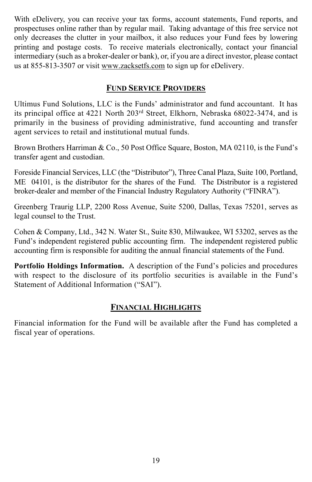With eDelivery, you can receive your tax forms, account statements, Fund reports, and prospectuses online rather than by regular mail. Taking advantage of this free service not only decreases the clutter in your mailbox, it also reduces your Fund fees by lowering printing and postage costs. To receive materials electronically, contact your financial intermediary (such as a broker-dealer or bank), or, if you are a direct investor, please contact us at 855-813-3507 or visit [www.zacksetfs.com](http://www.zacksetfs.com/) to sign up for eDelivery.

## **FUND SERVICE PROVIDERS**

<span id="page-22-0"></span>Ultimus Fund Solutions, LLC is the Funds' administrator and fund accountant. It has its principal office at 4221 North 203rd Street, Elkhorn, Nebraska 68022-3474, and is primarily in the business of providing administrative, fund accounting and transfer agent services to retail and institutional mutual funds.

Brown Brothers Harriman & Co., 50 Post Office Square, Boston, MA 02110, is the Fund's transfer agent and custodian.

Foreside Financial Services, LLC (the "Distributor"), Three Canal Plaza, Suite 100, Portland, ME 04101, is the distributor for the shares of the Fund. The Distributor is a registered broker-dealer and member of the Financial Industry Regulatory Authority ("FINRA").

Greenberg Traurig LLP, 2200 Ross Avenue, Suite 5200, Dallas, Texas 75201, serves as legal counsel to the Trust.

Cohen & Company, Ltd., 342 N. Water St., Suite 830, Milwaukee, WI 53202, serves as the Fund's independent registered public accounting firm. The independent registered public accounting firm is responsible for auditing the annual financial statements of the Fund.

**Portfolio Holdings Information.** A description of the Fund's policies and procedures with respect to the disclosure of its portfolio securities is available in the Fund's Statement of Additional Information ("SAI").

## **FINANCIAL HIGHLIGHTS**

<span id="page-22-1"></span>Financial information for the Fund will be available after the Fund has completed a fiscal year of operations.